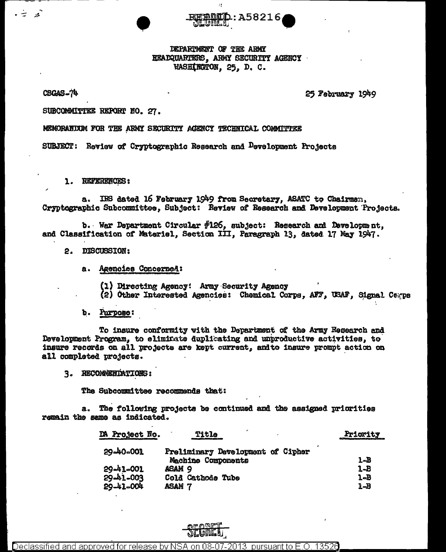DEPARTMENT OF THE ARMY HEADQUARTERS, ARMY SECURITY AGENCY WASHINGTON, 25, D. C.

:A58216

Ħ

CSGAS-74

عز

25 February 1949

SUBCOMMITTEE REPORT NO. 27.

MEMORANDUM FOR THE ARMY SECURITY AGENCY TECHNICAL COMMITTEE

SUBJECT: Review of Cryptographic Research and Development Projects

1. REFERENCES:

IRS dated 16 February 1949 from Secretary, ASATC to Chairman, a. Cryptographic Subcommittee, Subject: Review of Research and Development Projects.

b. War Department Circular  $#126$ , subject: Research and Development, and Classification of Materiel, Section III, Paragraph 13, dated 17 May 1947.

- 2. DISCUSSION:
	- Agencies Concerned: a.
		- (1) Directing Agency: Army Security Agency
		- (2) Other Interested Agencies: Chemical Corps, AFF, USAF, Signal Cerps
	- Purpose: b.

To insure conformity with the Department of the Army Research and Development Program, to eliminate duplicating and unproductive activities, to insure records on all projects are kept current, and to insure prompt action on all completed projects.

3. RECOMMENDATIONS:

The Subcommittee recommends that:

a. The following projects be continued and the assigned priorities remain the same as indicated.

| <b>DA Project No.</b> | Title                             | Pricrity<br>and the contract construction of the contract of the con- |
|-----------------------|-----------------------------------|-----------------------------------------------------------------------|
| 29-40-001             | Preliminary Development of Cipher | 1-B                                                                   |
| 29-41-001             | Machine Components<br>ASAM 9      | $1 - B$                                                               |
| $29 - 41 - 003$       | Cold Cathode Tube                 | 1-B                                                                   |
| 29-41-004             | <b>ASAM 7</b>                     | 1-B                                                                   |